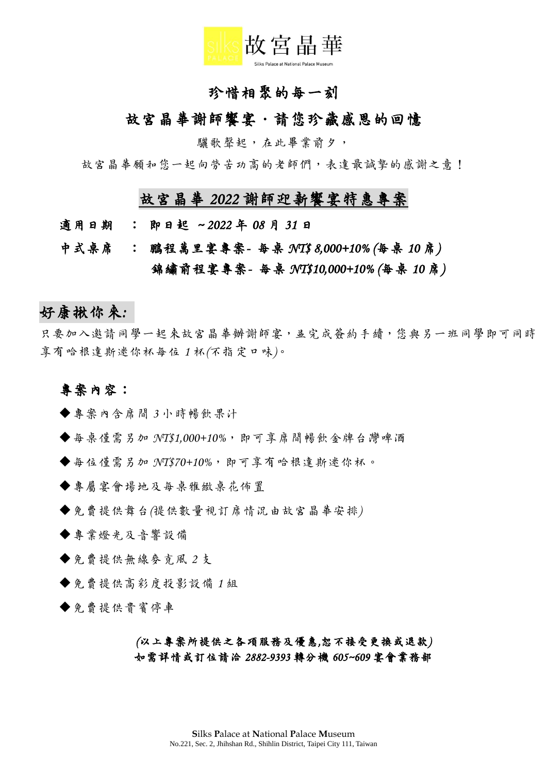

## 珍惜相聚的每一刻

#### 故宮晶華謝師響宴·請您珍藏感恩的回憶

驪歌聲起,在此畢業前夕,

故宮晶華願和您一起向勞苦功高的老師們,表達最誠摯的感謝之意!

## 故宮晶華 *2022* 謝師迎新饗宴特惠專案

- 適用日期:即日起 *~ 2022* 年 *08* 月 *31* 日
- 中式桌席:鵬程萬里宴專案每桌 *NT\$ 8,000+10% (*每桌 *10* 席*)*  錦繡前程宴專案*-* 每桌 *NT\$10,000+10% (*每桌 *10* 席*)*

## 好康揪你來*:*

只要加入邀請同學一起來故宮晶華辦謝師宴,並完成簽約手續,您與另一班同學即可同時 享有哈根達斯迷你杯每位 *1* 杯*(*不指定口味*)*。

#### 專案內容:

◆專案內含席間 3 小時暢飲果汁

- ◆每桌僅需另加 NT\$1,000+10%, 即可享席間暢飲金牌台灣啤酒
- ◆每位僅需另加 NT\$70+10%, 即可享有哈根達斯迷你杯。

◆專屬宴會場地及每桌雅緻桌花佈置

免費提供舞台*(*提供數量視訂席情況由故宮晶華安排*)*

專業燈光及音響設備

免費提供無線麥克風 *2* 支

**◆免費提供高彩度投影設備1組** 

◆免費提供貴賓停車

*(*以上專案所提供之各項服務及優惠*,*恕不接受更換或退款*)*  如需詳情或訂位請洽 *2882-9393* 轉分機 *605~609* 宴會業務部